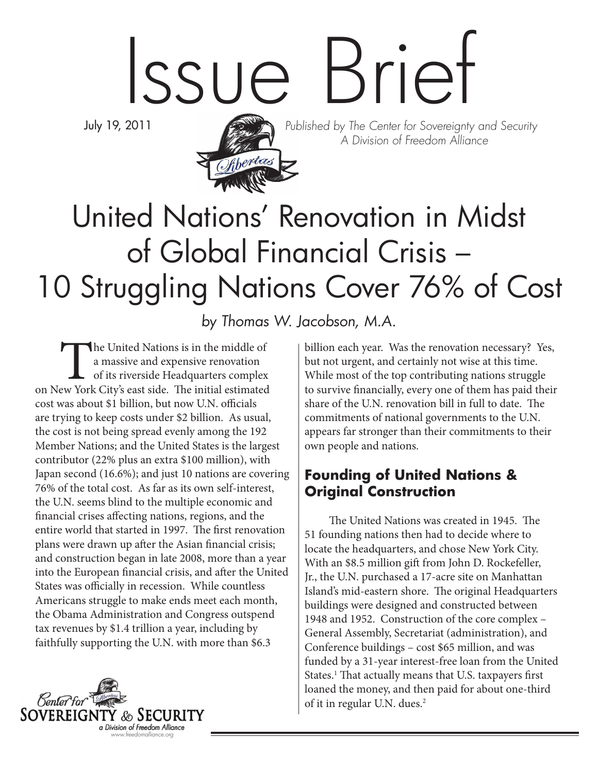# Issue Brief

July 19, 2011



Published by The Center for Sovereignty and Security A Division of Freedom Alliance

# United Nations' Renovation in Midst of Global Financial Crisis – 10 Struggling Nations Cover 76% of Cost

by Thomas W. Jacobson, M.A.

The United Nations is in the middle of<br>
a massive and expensive renovation<br>
of its riverside Headquarters complex<br>
on New York City's east side. The initial estimated a massive and expensive renovation of its riverside Headquarters complex cost was about \$1 billion, but now U.N. officials are trying to keep costs under \$2 billion. As usual, the cost is not being spread evenly among the 192 Member Nations; and the United States is the largest contributor (22% plus an extra \$100 million), with Japan second (16.6%); and just 10 nations are covering 76% of the total cost. As far as its own self-interest, the U.N. seems blind to the multiple economic and financial crises affecting nations, regions, and the entire world that started in 1997. The first renovation plans were drawn up after the Asian financial crisis; and construction began in late 2008, more than a year into the European financial crisis, and after the United States was officially in recession. While countless Americans struggle to make ends meet each month, the Obama Administration and Congress outspend tax revenues by \$1.4 trillion a year, including by faithfully supporting the U.N. with more than \$6.3



billion each year. Was the renovation necessary? Yes, but not urgent, and certainly not wise at this time. While most of the top contributing nations struggle to survive financially, every one of them has paid their share of the U.N. renovation bill in full to date. The commitments of national governments to the U.N. appears far stronger than their commitments to their own people and nations.

### **Founding of United Nations & Original Construction**

The United Nations was created in 1945. The 51 founding nations then had to decide where to locate the headquarters, and chose New York City. With an \$8.5 million gift from John D. Rockefeller, Jr., the U.N. purchased a 17-acre site on Manhattan Island's mid-eastern shore. The original Headquarters buildings were designed and constructed between 1948 and 1952. Construction of the core complex – General Assembly, Secretariat (administration), and Conference buildings – cost \$65 million, and was funded by a 31-year interest-free loan from the United States.<sup>1</sup> That actually means that U.S. taxpayers first loaned the money, and then paid for about one-third of it in regular U.N. dues.<sup>2</sup>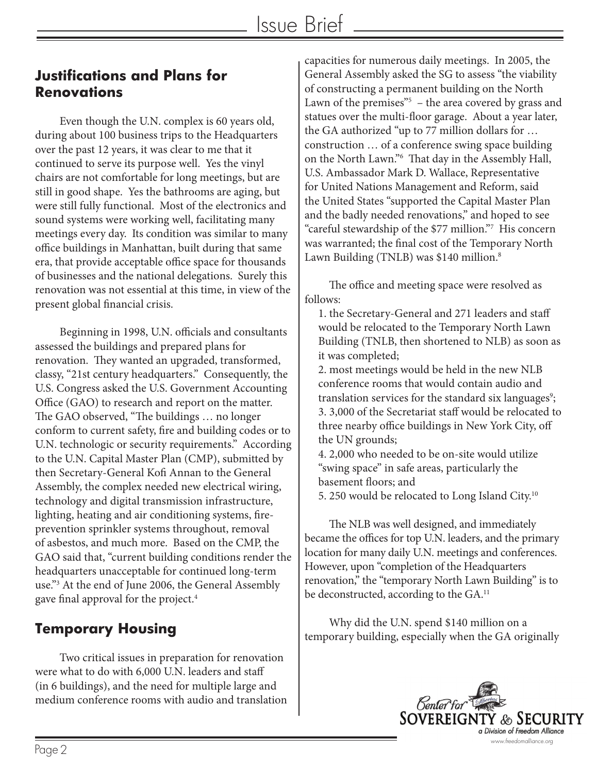#### **Justifications and Plans for Renovations**

Even though the U.N. complex is 60 years old, during about 100 business trips to the Headquarters over the past 12 years, it was clear to me that it continued to serve its purpose well. Yes the vinyl chairs are not comfortable for long meetings, but are still in good shape. Yes the bathrooms are aging, but were still fully functional. Most of the electronics and sound systems were working well, facilitating many meetings every day. Its condition was similar to many office buildings in Manhattan, built during that same era, that provide acceptable office space for thousands of businesses and the national delegations. Surely this renovation was not essential at this time, in view of the present global financial crisis.

Beginning in 1998, U.N. officials and consultants assessed the buildings and prepared plans for renovation. They wanted an upgraded, transformed, classy, "21st century headquarters." Consequently, the U.S. Congress asked the U.S. Government Accounting Office (GAO) to research and report on the matter. The GAO observed, "The buildings … no longer conform to current safety, fire and building codes or to U.N. technologic or security requirements." According to the U.N. Capital Master Plan (CMP), submitted by then Secretary-General Kofi Annan to the General Assembly, the complex needed new electrical wiring, technology and digital transmission infrastructure, lighting, heating and air conditioning systems, fireprevention sprinkler systems throughout, removal of asbestos, and much more. Based on the CMP, the GAO said that, "current building conditions render the headquarters unacceptable for continued long-term use."3 At the end of June 2006, the General Assembly gave final approval for the project.<sup>4</sup>

## **Temporary Housing**

Two critical issues in preparation for renovation were what to do with 6,000 U.N. leaders and staff (in 6 buildings), and the need for multiple large and medium conference rooms with audio and translation capacities for numerous daily meetings. In 2005, the General Assembly asked the SG to assess "the viability of constructing a permanent building on the North Lawn of the premises"<sup>5</sup> – the area covered by grass and statues over the multi-floor garage. About a year later, the GA authorized "up to 77 million dollars for … construction … of a conference swing space building on the North Lawn."6 That day in the Assembly Hall, U.S. Ambassador Mark D. Wallace, Representative for United Nations Management and Reform, said the United States "supported the Capital Master Plan and the badly needed renovations," and hoped to see "careful stewardship of the \$77 million."7 His concern was warranted; the final cost of the Temporary North Lawn Building (TNLB) was \$140 million.<sup>8</sup>

The office and meeting space were resolved as follows:

1. the Secretary-General and 271 leaders and staff would be relocated to the Temporary North Lawn Building (TNLB, then shortened to NLB) as soon as it was completed;

2. most meetings would be held in the new NLB conference rooms that would contain audio and translation services for the standard six languages<sup>9</sup>; 3. 3,000 of the Secretariat staff would be relocated to three nearby office buildings in New York City, off the UN grounds;

4. 2,000 who needed to be on-site would utilize "swing space" in safe areas, particularly the basement floors; and

5. 250 would be relocated to Long Island City.10

The NLB was well designed, and immediately became the offices for top U.N. leaders, and the primary location for many daily U.N. meetings and conferences. However, upon "completion of the Headquarters renovation," the "temporary North Lawn Building" is to be deconstructed, according to the GA.<sup>11</sup>

Why did the U.N. spend \$140 million on a temporary building, especially when the GA originally

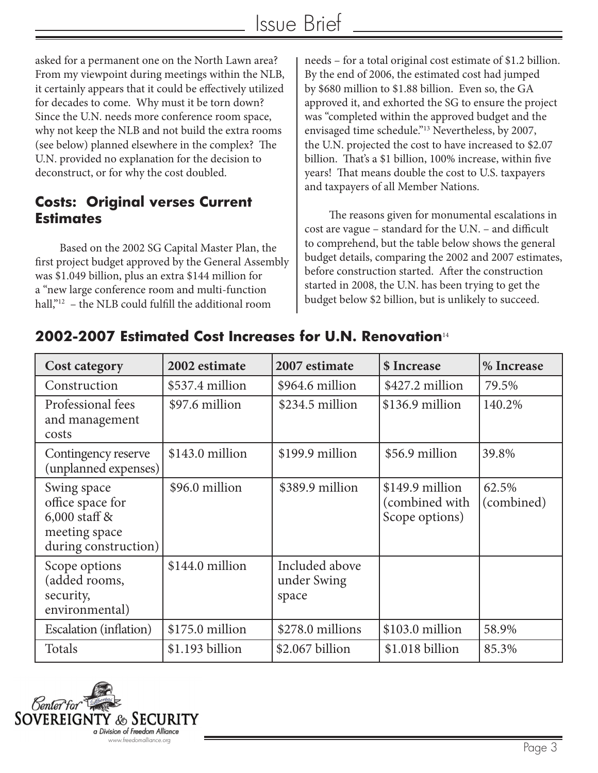asked for a permanent one on the North Lawn area? From my viewpoint during meetings within the NLB, it certainly appears that it could be effectively utilized for decades to come. Why must it be torn down? Since the U.N. needs more conference room space, why not keep the NLB and not build the extra rooms (see below) planned elsewhere in the complex? The U.N. provided no explanation for the decision to deconstruct, or for why the cost doubled.

#### **Costs: Original verses Current Estimates**

Based on the 2002 SG Capital Master Plan, the first project budget approved by the General Assembly was \$1.049 billion, plus an extra \$144 million for a "new large conference room and multi-function hall,"<sup>12</sup> – the NLB could fulfill the additional room

needs – for a total original cost estimate of \$1.2 billion. By the end of 2006, the estimated cost had jumped by \$680 million to \$1.88 billion. Even so, the GA approved it, and exhorted the SG to ensure the project was "completed within the approved budget and the envisaged time schedule."13 Nevertheless, by 2007, the U.N. projected the cost to have increased to \$2.07 billion. That's a \$1 billion, 100% increase, within five years! That means double the cost to U.S. taxpayers and taxpayers of all Member Nations.

The reasons given for monumental escalations in cost are vague – standard for the U.N. – and difficult to comprehend, but the table below shows the general budget details, comparing the 2002 and 2007 estimates, before construction started. After the construction started in 2008, the U.N. has been trying to get the budget below \$2 billion, but is unlikely to succeed.

| <b>Cost category</b>                                                                        | 2002 estimate    | 2007 estimate                          | \$ Increase                                         | % Increase          |
|---------------------------------------------------------------------------------------------|------------------|----------------------------------------|-----------------------------------------------------|---------------------|
| Construction                                                                                | \$537.4 million  | \$964.6 million                        | \$427.2 million                                     | 79.5%               |
| Professional fees<br>and management<br>costs                                                | \$97.6 million   | $$234.5$ million                       | $$136.9$ million                                    | 140.2%              |
| Contingency reserve<br>(unplanned expenses)                                                 | \$143.0 million  | \$199.9 million                        | \$56.9 million                                      | 39.8%               |
| Swing space<br>office space for<br>$6,000$ staff &<br>meeting space<br>during construction) | \$96.0 million   | \$389.9 million                        | \$149.9 million<br>(combined with<br>Scope options) | 62.5%<br>(combined) |
| Scope options<br>(added rooms,<br>security,<br>environmental)                               | $$144.0$ million | Included above<br>under Swing<br>space |                                                     |                     |
| Escalation (inflation)                                                                      | $$175.0$ million | \$278.0 millions                       | $$103.0$ million                                    | 58.9%               |
| Totals                                                                                      | $$1.193$ billion | $$2.067$ billion                       | \$1.018 billion                                     | 85.3%               |

#### **2002-2007 Estimated Cost Increases for U.N. Renovation**<sup>14</sup>

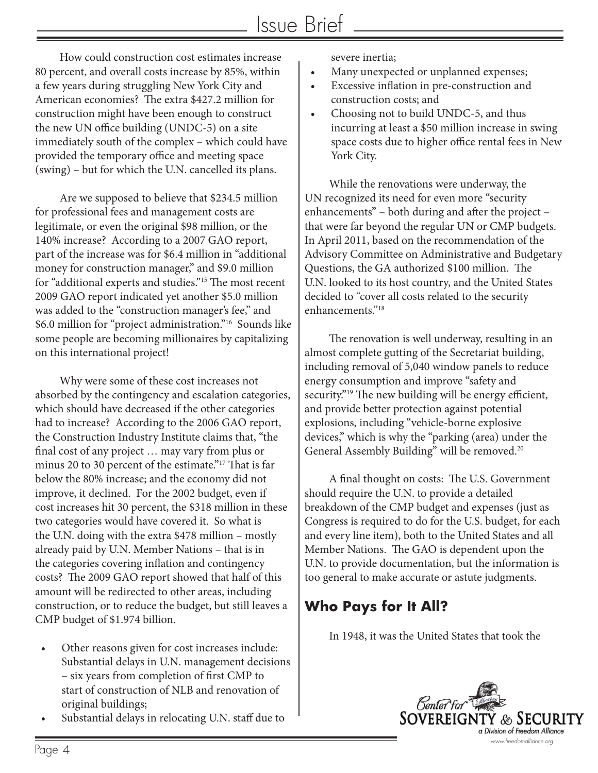How could construction cost estimates increase 80 percent, and overall costs increase by 85%, within a few years during struggling New York City and American economies? The extra \$427.2 million for construction might have been enough to construct the new UN office building (UNDC-5) on a site immediately south of the complex – which could have provided the temporary office and meeting space (swing) – but for which the U.N. cancelled its plans.

Are we supposed to believe that \$234.5 million for professional fees and management costs are legitimate, or even the original \$98 million, or the 140% increase? According to a 2007 GAO report, part of the increase was for \$6.4 million in "additional money for construction manager," and \$9.0 million for "additional experts and studies."15 The most recent 2009 GAO report indicated yet another \$5.0 million was added to the "construction manager's fee," and \$6.0 million for "project administration."16 Sounds like some people are becoming millionaires by capitalizing on this international project!

Why were some of these cost increases not absorbed by the contingency and escalation categories, which should have decreased if the other categories had to increase? According to the 2006 GAO report, the Construction Industry Institute claims that, "the final cost of any project … may vary from plus or minus 20 to 30 percent of the estimate."17 That is far below the 80% increase; and the economy did not improve, it declined. For the 2002 budget, even if cost increases hit 30 percent, the \$318 million in these two categories would have covered it. So what is the U.N. doing with the extra \$478 million – mostly already paid by U.N. Member Nations – that is in the categories covering inflation and contingency costs? The 2009 GAO report showed that half of this amount will be redirected to other areas, including construction, or to reduce the budget, but still leaves a CMP budget of \$1.974 billion.

- Other reasons given for cost increases include: Substantial delays in U.N. management decisions – six years from completion of first CMP to start of construction of NLB and renovation of original buildings;
- Substantial delays in relocating U.N. staff due to

severe inertia;

- Many unexpected or unplanned expenses;
- • Excessive inflation in pre-construction and construction costs; and
- Choosing not to build UNDC-5, and thus incurring at least a \$50 million increase in swing space costs due to higher office rental fees in New York City.

While the renovations were underway, the UN recognized its need for even more "security enhancements" – both during and after the project – that were far beyond the regular UN or CMP budgets. In April 2011, based on the recommendation of the Advisory Committee on Administrative and Budgetary Questions, the GA authorized \$100 million. The U.N. looked to its host country, and the United States decided to "cover all costs related to the security enhancements."18

The renovation is well underway, resulting in an almost complete gutting of the Secretariat building, including removal of 5,040 window panels to reduce energy consumption and improve "safety and security.<sup>"19</sup> The new building will be energy efficient, and provide better protection against potential explosions, including "vehicle-borne explosive devices," which is why the "parking (area) under the General Assembly Building" will be removed.<sup>20</sup>

A final thought on costs: The U.S. Government should require the U.N. to provide a detailed breakdown of the CMP budget and expenses (just as Congress is required to do for the U.S. budget, for each and every line item), both to the United States and all Member Nations. The GAO is dependent upon the U.N. to provide documentation, but the information is too general to make accurate or astute judgments.

# **Who Pays for It All?**

In 1948, it was the United States that took the

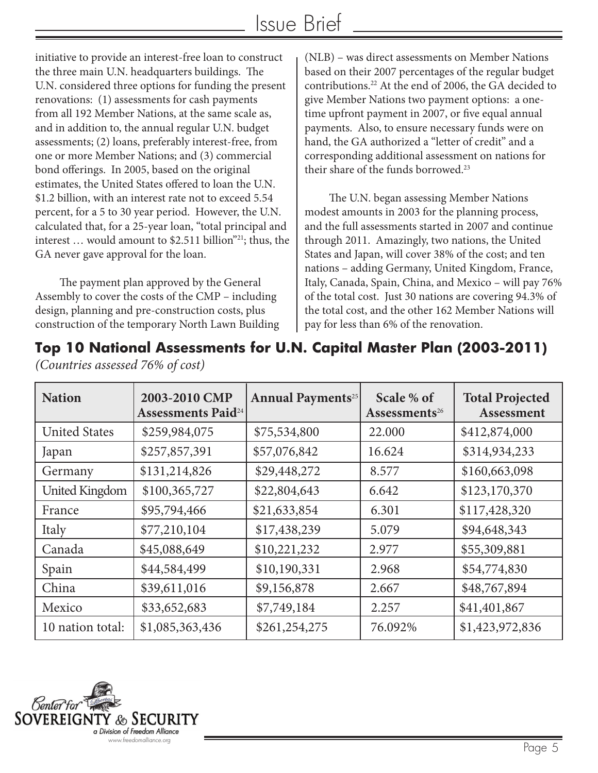initiative to provide an interest-free loan to construct the three main U.N. headquarters buildings. The U.N. considered three options for funding the present renovations: (1) assessments for cash payments from all 192 Member Nations, at the same scale as, and in addition to, the annual regular U.N. budget assessments; (2) loans, preferably interest-free, from one or more Member Nations; and (3) commercial bond offerings. In 2005, based on the original estimates, the United States offered to loan the U.N. \$1.2 billion, with an interest rate not to exceed 5.54 percent, for a 5 to 30 year period. However, the U.N. calculated that, for a 25-year loan, "total principal and interest ... would amount to \$2.511 billion"<sup>21</sup>; thus, the GA never gave approval for the loan.

The payment plan approved by the General Assembly to cover the costs of the CMP – including design, planning and pre-construction costs, plus construction of the temporary North Lawn Building (NLB) – was direct assessments on Member Nations based on their 2007 percentages of the regular budget contributions.22 At the end of 2006, the GA decided to give Member Nations two payment options: a onetime upfront payment in 2007, or five equal annual payments. Also, to ensure necessary funds were on hand, the GA authorized a "letter of credit" and a corresponding additional assessment on nations for their share of the funds borrowed.<sup>23</sup>

The U.N. began assessing Member Nations modest amounts in 2003 for the planning process, and the full assessments started in 2007 and continue through 2011. Amazingly, two nations, the United States and Japan, will cover 38% of the cost; and ten nations – adding Germany, United Kingdom, France, Italy, Canada, Spain, China, and Mexico – will pay 76% of the total cost. Just 30 nations are covering 94.3% of the total cost, and the other 162 Member Nations will pay for less than 6% of the renovation.

|  |  |  |  | Top 10 National Assessments for U.N. Capital Master Plan (2003-2011) |  |  |  |
|--|--|--|--|----------------------------------------------------------------------|--|--|--|
|--|--|--|--|----------------------------------------------------------------------|--|--|--|

| <b>Nation</b>         | 2003-2010 CMP<br><b>Assessments Paid</b> <sup>24</sup> | <b>Annual Payments</b> <sup>25</sup> | Scale % of<br>Assessments <sup>26</sup> | <b>Total Projected</b><br>Assessment |
|-----------------------|--------------------------------------------------------|--------------------------------------|-----------------------------------------|--------------------------------------|
| <b>United States</b>  | \$259,984,075                                          | \$75,534,800                         | 22.000                                  | \$412,874,000                        |
| Japan                 | \$257,857,391                                          | \$57,076,842                         | 16.624                                  | \$314,934,233                        |
| Germany               | \$131,214,826                                          | \$29,448,272                         | 8.577                                   | \$160,663,098                        |
| <b>United Kingdom</b> | \$100,365,727                                          | \$22,804,643                         | 6.642                                   | \$123,170,370                        |
| France                | \$95,794,466                                           | \$21,633,854                         | 6.301                                   | \$117,428,320                        |
| Italy                 | \$77,210,104                                           | \$17,438,239                         | 5.079                                   | \$94,648,343                         |
| Canada                | \$45,088,649                                           | \$10,221,232                         | 2.977                                   | \$55,309,881                         |
| Spain                 | \$44,584,499                                           | \$10,190,331                         | 2.968                                   | \$54,774,830                         |
| China                 | \$39,611,016                                           | \$9,156,878                          | 2.667                                   | \$48,767,894                         |
| Mexico                | \$33,652,683                                           | \$7,749,184                          | 2.257                                   | \$41,401,867                         |
| 10 nation total:      | \$1,085,363,436                                        | \$261,254,275                        | 76.092%                                 | \$1,423,972,836                      |



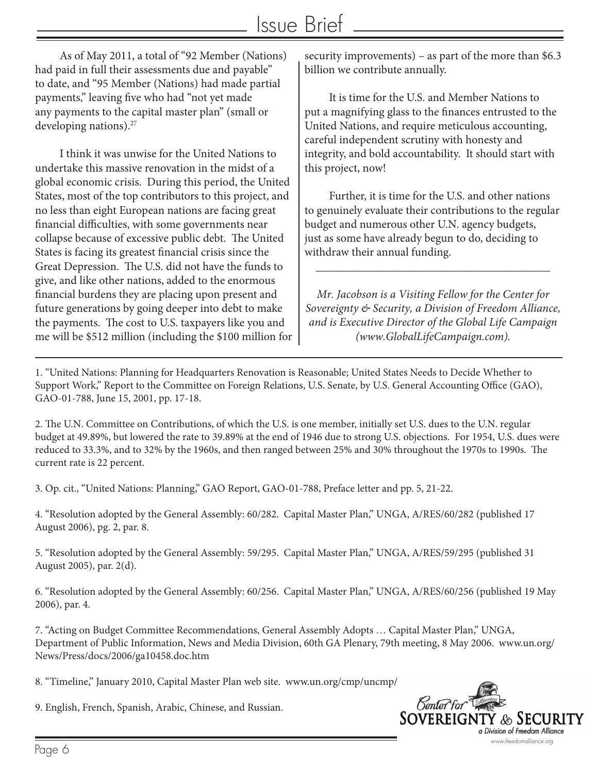As of May 2011, a total of "92 Member (Nations) had paid in full their assessments due and payable" to date, and "95 Member (Nations) had made partial payments," leaving five who had "not yet made any payments to the capital master plan" (small or developing nations).<sup>27</sup>

I think it was unwise for the United Nations to undertake this massive renovation in the midst of a global economic crisis. During this period, the United States, most of the top contributors to this project, and no less than eight European nations are facing great financial difficulties, with some governments near collapse because of excessive public debt. The United States is facing its greatest financial crisis since the Great Depression. The U.S. did not have the funds to give, and like other nations, added to the enormous financial burdens they are placing upon present and future generations by going deeper into debt to make the payments. The cost to U.S. taxpayers like you and me will be \$512 million (including the \$100 million for security improvements) – as part of the more than \$6.3 billion we contribute annually.

It is time for the U.S. and Member Nations to put a magnifying glass to the finances entrusted to the United Nations, and require meticulous accounting, careful independent scrutiny with honesty and integrity, and bold accountability. It should start with this project, now!

Further, it is time for the U.S. and other nations to genuinely evaluate their contributions to the regular budget and numerous other U.N. agency budgets, just as some have already begun to do, deciding to withdraw their annual funding.

\_\_\_\_\_\_\_\_\_\_\_\_\_\_\_\_\_\_\_\_\_\_\_\_\_\_\_\_\_\_\_\_\_\_\_\_\_\_\_\_

*Mr. Jacobson is a Visiting Fellow for the Center for Sovereignty & Security, a Division of Freedom Alliance, and is Executive Director of the Global Life Campaign (www.GlobalLifeCampaign.com).* 

1. "United Nations: Planning for Headquarters Renovation is Reasonable; United States Needs to Decide Whether to Support Work," Report to the Committee on Foreign Relations, U.S. Senate, by U.S. General Accounting Office (GAO), GAO-01-788, June 15, 2001, pp. 17-18.

2. The U.N. Committee on Contributions, of which the U.S. is one member, initially set U.S. dues to the U.N. regular budget at 49.89%, but lowered the rate to 39.89% at the end of 1946 due to strong U.S. objections. For 1954, U.S. dues were reduced to 33.3%, and to 32% by the 1960s, and then ranged between 25% and 30% throughout the 1970s to 1990s. The current rate is 22 percent.

3. Op. cit., "United Nations: Planning," GAO Report, GAO-01-788, Preface letter and pp. 5, 21-22.

4. "Resolution adopted by the General Assembly: 60/282. Capital Master Plan," UNGA, A/RES/60/282 (published 17 August 2006), pg. 2, par. 8.

5. "Resolution adopted by the General Assembly: 59/295. Capital Master Plan," UNGA, A/RES/59/295 (published 31 August 2005), par. 2(d).

6. "Resolution adopted by the General Assembly: 60/256. Capital Master Plan," UNGA, A/RES/60/256 (published 19 May 2006), par. 4.

7. "Acting on Budget Committee Recommendations, General Assembly Adopts … Capital Master Plan," UNGA, Department of Public Information, News and Media Division, 60th GA Plenary, 79th meeting, 8 May 2006. www.un.org/ News/Press/docs/2006/ga10458.doc.htm

8. "Timeline," January 2010, Capital Master Plan web site. www.un.org/cmp/uncmp/

9. English, French, Spanish, Arabic, Chinese, and Russian.